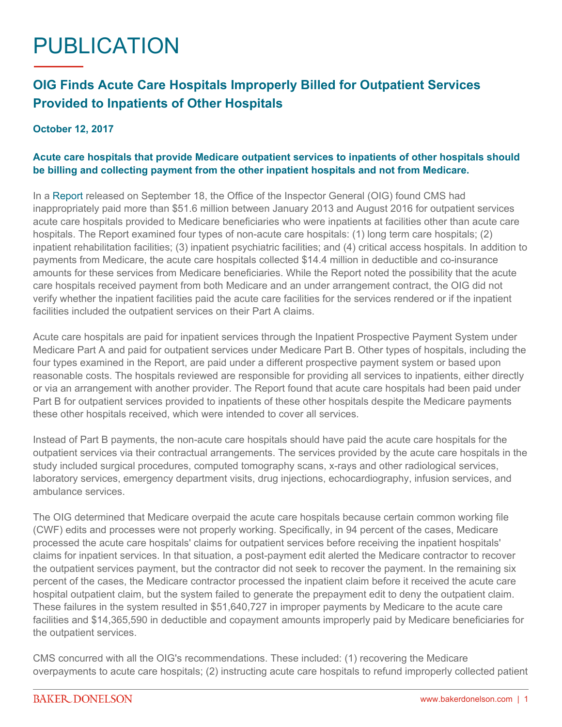## PUBLICATION

## **OIG Finds Acute Care Hospitals Improperly Billed for Outpatient Services Provided to Inpatients of Other Hospitals**

## **October 12, 2017**

## **Acute care hospitals that provide Medicare outpatient services to inpatients of other hospitals should be billing and collecting payment from the other inpatient hospitals and not from Medicare.**

In a [Report](https://www.oig.hhs.gov/oas/reports/region9/91602026.pdf) released on September 18, the Office of the Inspector General (OIG) found CMS had inappropriately paid more than \$51.6 million between January 2013 and August 2016 for outpatient services acute care hospitals provided to Medicare beneficiaries who were inpatients at facilities other than acute care hospitals. The Report examined four types of non-acute care hospitals: (1) long term care hospitals; (2) inpatient rehabilitation facilities; (3) inpatient psychiatric facilities; and (4) critical access hospitals. In addition to payments from Medicare, the acute care hospitals collected \$14.4 million in deductible and co-insurance amounts for these services from Medicare beneficiaries. While the Report noted the possibility that the acute care hospitals received payment from both Medicare and an under arrangement contract, the OIG did not verify whether the inpatient facilities paid the acute care facilities for the services rendered or if the inpatient facilities included the outpatient services on their Part A claims.

Acute care hospitals are paid for inpatient services through the Inpatient Prospective Payment System under Medicare Part A and paid for outpatient services under Medicare Part B. Other types of hospitals, including the four types examined in the Report, are paid under a different prospective payment system or based upon reasonable costs. The hospitals reviewed are responsible for providing all services to inpatients, either directly or via an arrangement with another provider. The Report found that acute care hospitals had been paid under Part B for outpatient services provided to inpatients of these other hospitals despite the Medicare payments these other hospitals received, which were intended to cover all services.

Instead of Part B payments, the non-acute care hospitals should have paid the acute care hospitals for the outpatient services via their contractual arrangements. The services provided by the acute care hospitals in the study included surgical procedures, computed tomography scans, x-rays and other radiological services, laboratory services, emergency department visits, drug injections, echocardiography, infusion services, and ambulance services.

The OIG determined that Medicare overpaid the acute care hospitals because certain common working file (CWF) edits and processes were not properly working. Specifically, in 94 percent of the cases, Medicare processed the acute care hospitals' claims for outpatient services before receiving the inpatient hospitals' claims for inpatient services. In that situation, a post-payment edit alerted the Medicare contractor to recover the outpatient services payment, but the contractor did not seek to recover the payment. In the remaining six percent of the cases, the Medicare contractor processed the inpatient claim before it received the acute care hospital outpatient claim, but the system failed to generate the prepayment edit to deny the outpatient claim. These failures in the system resulted in \$51,640,727 in improper payments by Medicare to the acute care facilities and \$14,365,590 in deductible and copayment amounts improperly paid by Medicare beneficiaries for the outpatient services.

CMS concurred with all the OIG's recommendations. These included: (1) recovering the Medicare overpayments to acute care hospitals; (2) instructing acute care hospitals to refund improperly collected patient